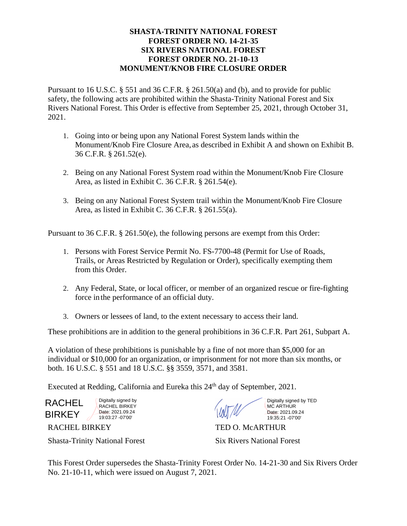## **SHASTA-TRINITY NATIONAL FOREST FOREST ORDER NO. 14-21-35 SIX RIVERS NATIONAL FOREST FOREST ORDER NO. 21-10-13 MONUMENT/KNOB FIRE CLOSURE ORDER**

Pursuant to 16 U.S.C. § 551 and 36 C.F.R. § 261.50(a) and (b), and to provide for public safety, the following acts are prohibited within the Shasta-Trinity National Forest and Six Rivers National Forest. This Order is effective from September 25, 2021, through October 31, 2021.

- 1. Going into or being upon any National Forest System lands within the Monument/Knob Fire Closure Area, as described in Exhibit A and shown on Exhibit B. 36 C.F.R. § 261.52(e).
- 2. Being on any National Forest System road within the Monument/Knob Fire Closure Area, as listed in Exhibit C. 36 C.F.R. § 261.54(e).
- 3. Being on any National Forest System trail within the Monument/Knob Fire Closure Area, as listed in Exhibit C. 36 C.F.R. § 261.55(a).

Pursuant to 36 C.F.R. § 261.50(e), the following persons are exempt from this Order:

- 1. Persons with Forest Service Permit No. FS-7700-48 (Permit for Use of Roads, Trails, or Areas Restricted by Regulation or Order), specifically exempting them from this Order.
- 2. Any Federal, State, or local officer, or member of an organized rescue or fire-fighting force in the performance of an official duty.
- 3. Owners or lessees of land, to the extent necessary to access their land.

These prohibitions are in addition to the general prohibitions in 36 C.F.R. Part 261, Subpart A.

A violation of these prohibitions is punishable by a fine of not more than \$5,000 for an individual or \$10,000 for an organization, or imprisonment for not more than six months, or both. 16 U.S.C. § 551 and 18 U.S.C. §§ 3559, 3571, and 3581.

Executed at Redding, California and Eureka this 24<sup>th</sup> day of September, 2021.

RACHEL **BIRKEY** 

Digitally signed by RACHEL BIRKEY Date: 2021.09.24 19:03:27 -07'00'

Digitally signed by TED MC ARTHUR Date: 2021.09.24 19:35:21 -07'00'

Shasta-Trinity National Forest Six Rivers National Forest

RACHEL BIRKEY TED O. McARTHUR

This Forest Order supersedes the Shasta-Trinity Forest Order No. 14-21-30 and Six Rivers Order No. 21-10-11, which were issued on August 7, 2021.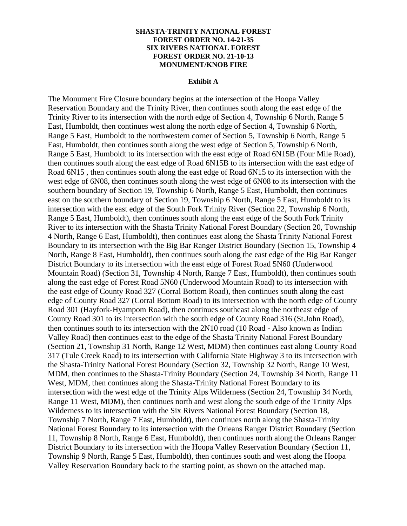## **SHASTA-TRINITY NATIONAL FOREST FOREST ORDER NO. 14-21-35 SIX RIVERS NATIONAL FOREST FOREST ORDER NO. 21-10-13 MONUMENT/KNOB FIRE**

## **Exhibit A**

The Monument Fire Closure boundary begins at the intersection of the Hoopa Valley Reservation Boundary and the Trinity River, then continues south along the east edge of the Trinity River to its intersection with the north edge of Section 4, Township 6 North, Range 5 East, Humboldt, then continues west along the north edge of Section 4, Township 6 North, Range 5 East, Humboldt to the northwestern corner of Section 5, Township 6 North, Range 5 East, Humboldt, then continues south along the west edge of Section 5, Township 6 North, Range 5 East, Humboldt to its intersection with the east edge of Road 6N15B (Four Mile Road), then continues south along the east edge of Road 6N15B to its intersection with the east edge of Road 6N15 , then continues south along the east edge of Road 6N15 to its intersection with the west edge of 6N08, then continues south along the west edge of 6N08 to its intersection with the southern boundary of Section 19, Township 6 North, Range 5 East, Humboldt, then continues east on the southern boundary of Section 19, Township 6 North, Range 5 East, Humboldt to its intersection with the east edge of the South Fork Trinity River (Section 22, Township 6 North, Range 5 East, Humboldt), then continues south along the east edge of the South Fork Trinity River to its intersection with the Shasta Trinity National Forest Boundary (Section 20, Township 4 North, Range 6 East, Humboldt), then continues east along the Shasta Trinity National Forest Boundary to its intersection with the Big Bar Ranger District Boundary (Section 15, Township 4 North, Range 8 East, Humboldt), then continues south along the east edge of the Big Bar Ranger District Boundary to its intersection with the east edge of Forest Road 5N60 (Underwood Mountain Road) (Section 31, Township 4 North, Range 7 East, Humboldt), then continues south along the east edge of Forest Road 5N60 (Underwood Mountain Road) to its intersection with the east edge of County Road 327 (Corral Bottom Road), then continues south along the east edge of County Road 327 (Corral Bottom Road) to its intersection with the north edge of County Road 301 (Hayfork-Hyampom Road), then continues southeast along the northeast edge of County Road 301 to its intersection with the south edge of County Road 316 (St.John Road), then continues south to its intersection with the 2N10 road (10 Road - Also known as Indian Valley Road) then continues east to the edge of the Shasta Trinity National Forest Boundary (Section 21, Township 31 North, Range 12 West, MDM) then continues east along County Road 317 (Tule Creek Road) to its intersection with California State Highway 3 to its intersection with the Shasta-Trinity National Forest Boundary (Section 32, Township 32 North, Range 10 West, MDM, then continues to the Shasta-Trinity Boundary (Section 24, Township 34 North, Range 11 West, MDM, then continues along the Shasta-Trinity National Forest Boundary to its intersection with the west edge of the Trinity Alps Wilderness (Section 24, Township 34 North, Range 11 West, MDM), then continues north and west along the south edge of the Trinity Alps Wilderness to its intersection with the Six Rivers National Forest Boundary (Section 18, Township 7 North, Range 7 East, Humboldt), then continues north along the Shasta-Trinity National Forest Boundary to its intersection with the Orleans Ranger District Boundary (Section 11, Township 8 North, Range 6 East, Humboldt), then continues north along the Orleans Ranger District Boundary to its intersection with the Hoopa Valley Reservation Boundary (Section 11, Township 9 North, Range 5 East, Humboldt), then continues south and west along the Hoopa Valley Reservation Boundary back to the starting point, as shown on the attached map.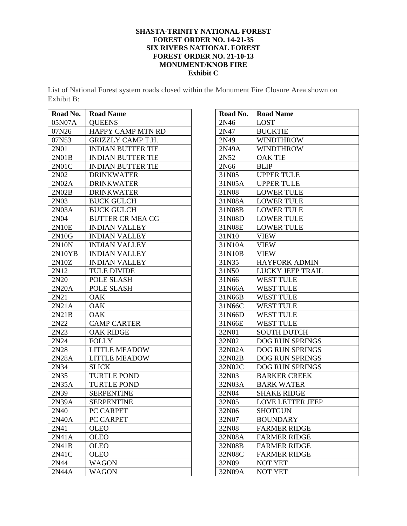## **SHASTA-TRINITY NATIONAL FOREST FOREST ORDER NO. 14-21-35 SIX RIVERS NATIONAL FOREST FOREST ORDER NO. 21-10-13 MONUMENT/KNOB FIRE Exhibit C**

List of National Forest system roads closed within the Monument Fire Closure Area shown on Exhibit B:

| Road No.          | <b>Road Name</b>         |
|-------------------|--------------------------|
| 05N07A            | <b>QUEENS</b>            |
| 07N26             | HAPPY CAMP MTN RD        |
| 07N53             | <b>GRIZZLY CAMP T.H.</b> |
| 2N01              | <b>INDIAN BUTTER TIE</b> |
| 2N01B             | <b>INDIAN BUTTER TIE</b> |
| 2N01C             | <b>INDIAN BUTTER TIE</b> |
| 2N <sub>0</sub> 2 | <b>DRINKWATER</b>        |
| 2N02A             | <b>DRINKWATER</b>        |
| 2N02B             | <b>DRINKWATER</b>        |
| 2N03              | <b>BUCK GULCH</b>        |
| 2N03A             | <b>BUCK GULCH</b>        |
| 2N04              | <b>BUTTER CR MEA CG</b>  |
| 2N10E             | <b>INDIAN VALLEY</b>     |
| 2N10G             | <b>INDIAN VALLEY</b>     |
| 2N10N             | <b>INDIAN VALLEY</b>     |
| 2N10YB            | <b>INDIAN VALLEY</b>     |
| 2N10Z             | <b>INDIAN VALLEY</b>     |
| 2N12              | <b>TULE DIVIDE</b>       |
| 2N20              | POLE SLASH               |
| 2N20A             | POLE SLASH               |
| 2N21              | OAK                      |
| 2N21A             | <b>OAK</b>               |
| 2N21B             | <b>OAK</b>               |
| 2N22              | <b>CAMP CARTER</b>       |
| 2N23              | <b>OAK RIDGE</b>         |
| 2N24              | <b>FOLLY</b>             |
| 2N28              | <b>LITTLE MEADOW</b>     |
| 2N28A             | <b>LITTLE MEADOW</b>     |
| 2N34              | <b>SLICK</b>             |
| 2N35              | <b>TURTLE POND</b>       |
| 2N35A             | <b>TURTLE POND</b>       |
| 2N39              | <b>SERPENTINE</b>        |
| 2N39A             | <b>SERPENTINE</b>        |
| 2N40              | PC CARPET                |
| 2N40A             | PC CARPET                |
| 2N41              | OLEO                     |
| 2N41A             | <b>OLEO</b>              |
| 2N41B             | <b>OLEO</b>              |
| 2N41C             | <b>OLEO</b>              |
| 2N44              | <b>WAGON</b>             |
| 2N44A             | <b>WAGON</b>             |

| Road No. | <b>Road Name</b>            |
|----------|-----------------------------|
| 2N46     | LOST                        |
| 2N47     | <b>BUCKTIE</b>              |
| 2N49     | WINDTHROW                   |
| 2N49A    | <b>WINDTHROW</b>            |
| 2N52     | <b>OAK TIE</b>              |
| 2N66     | <b>BLIP</b>                 |
| 31N05    | <b>UPPER TULE</b>           |
| 31N05A   | <b>UPPER TULE</b>           |
| 31N08    | <b>LOWER TULE</b>           |
| 31N08A   | <b>LOWER TULE</b>           |
| 31N08B   | <b>LOWER TULE</b>           |
| 31N08D   | <b>LOWER TULE</b>           |
| 31N08E   | <b>LOWER TULE</b>           |
| 31N10    | VIEW                        |
| 31N10A   | VIEW                        |
| 31N10B   | <b>VIEW</b>                 |
| 31N35    | <b>HAYFORK ADMIN</b>        |
| 31N50    | <b>LUCKY JEEP TRAIL</b>     |
| 31N66    | <b>WEST TULE</b>            |
| 31N66A   | <b>WEST TULE</b>            |
| 31N66B   | <b>WEST TULE</b>            |
| 31N66C   | <b>WEST TULE</b>            |
| 31N66D   | <b>WEST TULE</b>            |
| 31N66E   | <b>WEST TULE</b>            |
| 32N01    | <b>SOUTH DUTCH</b>          |
| 32N02    | <b>DOG RUN SPRINGS</b>      |
| 32N02A   | <b>DOG RUN SPRINGS</b>      |
| 32N02B   | <b>DOG RUN SPRINGS</b>      |
| 32N02C   | <b>DOG RUN SPRINGS</b>      |
| 32N03    | <b>BARKER CREEK</b>         |
| 32N03A   | <b>BARK WATER</b>           |
| 32N04    | <b>SHAKE RIDGE</b>          |
| 32N05    | <b>LOVE LETTER JEEP</b>     |
| 32N06    | <b>SHOTGUN</b>              |
| 32N07    | <b>BOUNDARY</b>             |
| 32N08    | <b>FARMER RIDGE</b>         |
| 32N08A   | <b>FARMER RIDGE</b>         |
| 32N08B   | <b>FARMER RIDGE</b>         |
| 32N08C   | <b>FARMER RIDGE</b>         |
| 32N09    | <b>NOT YET</b>              |
| 32N09A   | $\overline{\text{NOT}}$ YET |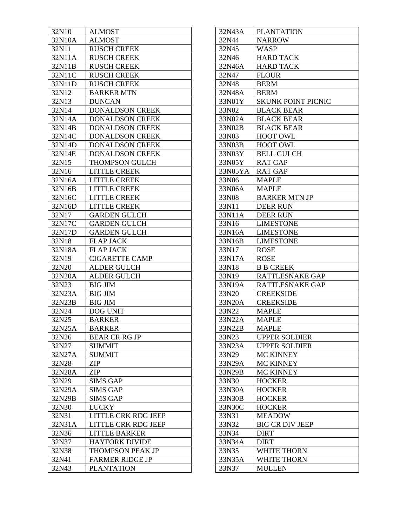| 32N10  | <b>ALMOST</b>              |
|--------|----------------------------|
| 32N10A | <b>ALMOST</b>              |
| 32N11  | <b>RUSCH CREEK</b>         |
| 32N11A | <b>RUSCH CREEK</b>         |
| 32N11B | <b>RUSCH CREEK</b>         |
| 32N11C | <b>RUSCH CREEK</b>         |
| 32N11D | <b>RUSCH CREEK</b>         |
| 32N12  | <b>BARKER MTN</b>          |
| 32N13  | <b>DUNCAN</b>              |
| 32N14  | <b>DONALDSON CREEK</b>     |
| 32N14A | <b>DONALDSON CREEK</b>     |
| 32N14B | <b>DONALDSON CREEK</b>     |
| 32N14C | <b>DONALDSON CREEK</b>     |
| 32N14D | <b>DONALDSON CREEK</b>     |
| 32N14E | <b>DONALDSON CREEK</b>     |
| 32N15  | <b>THOMPSON GULCH</b>      |
| 32N16  | <b>LITTLE CREEK</b>        |
| 32N16A | <b>LITTLE CREEK</b>        |
| 32N16B | <b>LITTLE CREEK</b>        |
| 32N16C | <b>LITTLE CREEK</b>        |
| 32N16D | <b>LITTLE CREEK</b>        |
| 32N17  | <b>GARDEN GULCH</b>        |
| 32N17C | <b>GARDEN GULCH</b>        |
| 32N17D | <b>GARDEN GULCH</b>        |
| 32N18  | <b>FLAP JACK</b>           |
| 32N18A | <b>FLAP JACK</b>           |
| 32N19  | <b>CIGARETTE CAMP</b>      |
| 32N20  | <b>ALDER GULCH</b>         |
| 32N20A | <b>ALDER GULCH</b>         |
| 32N23  | <b>BIG JIM</b>             |
| 32N23A | <b>BIG JIM</b>             |
| 32N23B | <b>BIG JIM</b>             |
| 32N24  | DOG UNIT                   |
| 32N25  | <b>BARKER</b>              |
| 32N25A | BARKER                     |
| 32N26  | <b>BEAR CR RG JP</b>       |
| 32N27  | <b>SUMMIT</b>              |
| 32N27A | <b>SUMMIT</b>              |
| 32N28  | ZIP                        |
| 32N28A | ZIP                        |
| 32N29  | <b>SIMS GAP</b>            |
| 32N29A | SIMS GAP                   |
| 32N29B | SIMS GAP                   |
| 32N30  | <b>LUCKY</b>               |
| 32N31  | LITTLE CRK RDG JEEP        |
| 32N31A | <b>LITTLE CRK RDG JEEP</b> |
| 32N36  | <b>LITTLE BARKER</b>       |
| 32N37  | <b>HAYFORK DIVIDE</b>      |
| 32N38  | THOMPSON PEAK JP           |
| 32N41  | <b>FARMER RIDGE JP</b>     |
| 32N43  | <b>PLANTATION</b>          |

| 32N43A  | <b>PLANTATION</b>         |
|---------|---------------------------|
| 32N44   | <b>NARROW</b>             |
| 32N45   | WASP                      |
| 32N46   | <b>HARD TACK</b>          |
| 32N46A  | <b>HARD TACK</b>          |
| 32N47   | <b>FLOUR</b>              |
| 32N48   | <b>BERM</b>               |
| 32N48A  | <b>BERM</b>               |
| 33N01Y  | <b>SKUNK POINT PICNIC</b> |
| 33N02   | <b>BLACK BEAR</b>         |
| 33N02A  | <b>BLACK BEAR</b>         |
| 33N02B  | <b>BLACK BEAR</b>         |
| 33N03   | <b>HOOT OWL</b>           |
| 33N03B  | <b>HOOT OWL</b>           |
| 33N03Y  | <b>BELL GULCH</b>         |
| 33N05Y  | <b>RAT GAP</b>            |
| 33N05YA | <b>RAT GAP</b>            |
| 33N06   | <b>MAPLE</b>              |
| 33N06A  | MAPLE                     |
| 33N08   | <b>BARKER MTN JP</b>      |
| 33N11   | <b>DEER RUN</b>           |
| 33N11A  | <b>DEER RUN</b>           |
| 33N16   | <b>LIMESTONE</b>          |
| 33N16A  | <b>LIMESTONE</b>          |
| 33N16B  | LIMESTONE                 |
| 33N17   | <b>ROSE</b>               |
| 33N17A  | <b>ROSE</b>               |
| 33N18   | <b>B B CREEK</b>          |
| 33N19   | RATTLESNAKE GAP           |
| 33N19A  | RATTLESNAKE GAP           |
| 33N20   | <b>CREEKSIDE</b>          |
| 33N20A  | <b>CREEKSIDE</b>          |
| 33N22   | MAPLE                     |
| 33N22A  | MAPLE                     |
| 33N22B  | MAPLE                     |
| 33N23   | <b>UPPER SOLDIER</b>      |
| 33N23A  | <b>UPPER SOLDIER</b>      |
| 33N29   | <b>MC KINNEY</b>          |
| 33N29A  | <b>MC KINNEY</b>          |
| 33N29B  | MC KINNEY                 |
| 33N30   | <b>HOCKER</b>             |
| 33N30A  | <b>HOCKER</b>             |
| 33N30B  | <b>HOCKER</b>             |
| 33N30C  | <b>HOCKER</b>             |
| 33N31   | <b>MEADOW</b>             |
| 33N32   | <b>BIG CR DIV JEEP</b>    |
| 33N34   | <b>DIRT</b>               |
| 33N34A  | <b>DIRT</b>               |
| 33N35   | <b>WHITE THORN</b>        |
| 33N35A  | <b>WHITE THORN</b>        |
| 33N37   | <b>MULLEN</b>             |
|         |                           |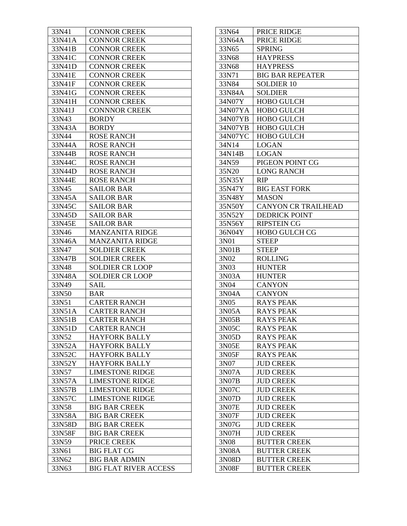| 33N41  | <b>CONNOR CREEK</b>          |
|--------|------------------------------|
| 33N41A | <b>CONNOR CREEK</b>          |
| 33N41B | <b>CONNOR CREEK</b>          |
| 33N41C | <b>CONNOR CREEK</b>          |
| 33N41D | <b>CONNOR CREEK</b>          |
| 33N41E | <b>CONNOR CREEK</b>          |
| 33N41F | <b>CONNOR CREEK</b>          |
| 33N41G | <b>CONNOR CREEK</b>          |
| 33N41H | <b>CONNOR CREEK</b>          |
| 33N41J | <b>CONNNOR CREEK</b>         |
| 33N43  | <b>BORDY</b>                 |
| 33N43A | <b>BORDY</b>                 |
| 33N44  | <b>ROSE RANCH</b>            |
| 33N44A | <b>ROSE RANCH</b>            |
| 33N44B | <b>ROSE RANCH</b>            |
| 33N44C | ROSE RANCH                   |
| 33N44D | <b>ROSE RANCH</b>            |
| 33N44E | <b>ROSE RANCH</b>            |
| 33N45  | <b>SAILOR BAR</b>            |
| 33N45A | <b>SAILOR BAR</b>            |
| 33N45C | <b>SAILOR BAR</b>            |
| 33N45D | <b>SAILOR BAR</b>            |
| 33N45E | <b>SAILOR BAR</b>            |
| 33N46  | <b>MANZANITA RIDGE</b>       |
| 33N46A | <b>MANZANITA RIDGE</b>       |
| 33N47  | <b>SOLDIER CREEK</b>         |
| 33N47B | <b>SOLDIER CREEK</b>         |
| 33N48  | <b>SOLDIER CR LOOP</b>       |
| 33N48A | <b>SOLDIER CR LOOP</b>       |
| 33N49  | <b>SAIL</b>                  |
| 33N50  | <b>BAR</b>                   |
| 33N51  | <b>CARTER RANCH</b>          |
| 33N51A | <b>CARTER RANCH</b>          |
| 33N51B | <b>CARTER RANCH</b>          |
| 33N51D | <b>CARTER RANCH</b>          |
| 33N52  | <b>HAYFORK BALLY</b>         |
| 33N52A | <b>HAYFORK BALLY</b>         |
| 33N52C | <b>HAYFORK BALLY</b>         |
| 33N52Y | <b>HAYFORK BALLY</b>         |
| 33N57  | <b>LIMESTONE RIDGE</b>       |
| 33N57A | <b>LIMESTONE RIDGE</b>       |
| 33N57B | <b>LIMESTONE RIDGE</b>       |
| 33N57C | <b>LIMESTONE RIDGE</b>       |
| 33N58  | <b>BIG BAR CREEK</b>         |
| 33N58A | <b>BIG BAR CREEK</b>         |
| 33N58D | <b>BIG BAR CREEK</b>         |
| 33N58F | <b>BIG BAR CREEK</b>         |
| 33N59  | PRICE CREEK                  |
| 33N61  | <b>BIG FLAT CG</b>           |
| 33N62  | <b>BIG BAR ADMIN</b>         |
| 33N63  | <b>BIG FLAT RIVER ACCESS</b> |

| 33N64             | PRICE RIDGE                         |
|-------------------|-------------------------------------|
| 33N64A            | PRICE RIDGE                         |
| 33N65             | <b>SPRING</b>                       |
| 33N68             | <b>HAYPRESS</b>                     |
| 33N68             | <b>HAYPRESS</b>                     |
| 33N71             | <b>BIG BAR REPEATER</b>             |
| 33N84             | <b>SOLDIER 10</b>                   |
| 33N84A            | SOLDIER                             |
| 34N07Y            | <b>HOBO GULCH</b>                   |
| 34N07YA           | <b>HOBO GULCH</b>                   |
| 34N07YB           | <b>HOBO GULCH</b>                   |
| 34N07YB           | <b>HOBO GULCH</b>                   |
| 34N07YC           | <b>HOBO GULCH</b>                   |
| 34N14             | LOGAN                               |
| 34N14B            | <b>LOGAN</b>                        |
| 34N59             | PIGEON POINT CG                     |
| 35N20             | <b>LONG RANCH</b>                   |
| 35N35Y            | <b>RIP</b>                          |
| 35N47Y            | <b>BIG EAST FORK</b>                |
| 35N48Y            | <b>MASON</b>                        |
| 35N50Y            | <b>CANYON CR TRAILHEAD</b>          |
| 35N52Y            | <b>DEDRICK POINT</b>                |
|                   |                                     |
| 35N56Y<br>36N04Y  | <b>RIPSTEIN CG</b><br>HOBO GULCH CG |
|                   |                                     |
| 3N01              | <b>STEEP</b>                        |
| 3N01B             | <b>STEEP</b>                        |
| 3N02              | <b>ROLLING</b>                      |
| 3N03              | <b>HUNTER</b>                       |
| 3N03A             | <b>HUNTER</b>                       |
| 3N <sub>0</sub> 4 | <b>CANYON</b>                       |
| 3N04A             | <b>CANYON</b>                       |
| 3N05              | <b>RAYS PEAK</b>                    |
| 3N05A             | <b>RAYS PEAK</b>                    |
| 3N05B             | <b>RAYS PEAK</b>                    |
| 3N05C             | RAYS PEAK                           |
| 3N05D             | <b>RAYS PEAK</b>                    |
| 3N05E             | <b>RAYS PEAK</b>                    |
| 3N05F             | <b>RAYS PEAK</b>                    |
| 3N07              | <b>JUD CREEK</b>                    |
| 3N07A             | <b>JUD CREEK</b>                    |
| 3N07B             | <b>JUD CREEK</b>                    |
| 3N07C             | <b>JUD CREEK</b>                    |
| 3N07D             | <b>JUD CREEK</b>                    |
| 3N07E             | <b>JUD CREEK</b>                    |
| 3N07F             | <b>JUD CREEK</b>                    |
| 3N07G             | <b>JUD CREEK</b>                    |
| 3N07H             | <b>JUD CREEK</b>                    |
| 3N08              | <b>BUTTER CREEK</b>                 |
| 3N08A             | <b>BUTTER CREEK</b>                 |
| 3N08D             | <b>BUTTER CREEK</b>                 |
| 3N08F             | <b>BUTTER CREEK</b>                 |
|                   |                                     |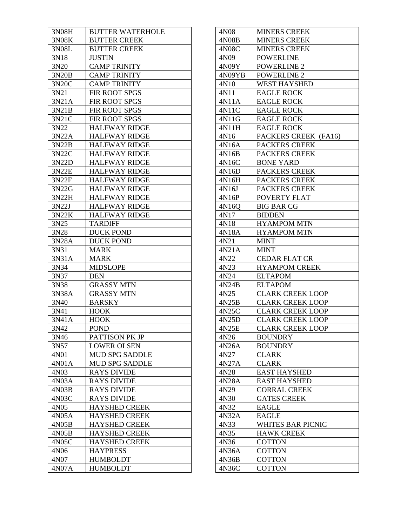| 3N08H | <b>BUTTER WATERHOLE</b> |
|-------|-------------------------|
| 3N08K | <b>BUTTER CREEK</b>     |
| 3N08L | <b>BUTTER CREEK</b>     |
| 3N18  | JUSTIN                  |
| 3N20  | <b>CAMP TRINITY</b>     |
| 3N20B | <b>CAMP TRINITY</b>     |
| 3N20C | <b>CAMP TRINITY</b>     |
| 3N21  | FIR ROOT SPGS           |
| 3N21A | FIR ROOT SPGS           |
| 3N21B | FIR ROOT SPGS           |
| 3N21C | FIR ROOT SPGS           |
| 3N22  | <b>HALFWAY RIDGE</b>    |
| 3N22A | <b>HALFWAY RIDGE</b>    |
| 3N22B | <b>HALFWAY RIDGE</b>    |
| 3N22C | <b>HALFWAY RIDGE</b>    |
| 3N22D | <b>HALFWAY RIDGE</b>    |
| 3N22E | <b>HALFWAY RIDGE</b>    |
| 3N22F | <b>HALFWAY RIDGE</b>    |
| 3N22G | <b>HALFWAY RIDGE</b>    |
| 3N22H | <b>HALFWAY RIDGE</b>    |
| 3N22J | <b>HALFWAY RIDGE</b>    |
| 3N22K | <b>HALFWAY RIDGE</b>    |
| 3N25  | <b>TARDIFF</b>          |
| 3N28  | <b>DUCK POND</b>        |
| 3N28A | <b>DUCK POND</b>        |
| 3N31  | <b>MARK</b>             |
| 3N31A | MARK                    |
| 3N34  | <b>MIDSLOPE</b>         |
| 3N37  | <b>DEN</b>              |
| 3N38  | <b>GRASSY MTN</b>       |
| 3N38A | <b>GRASSY MTN</b>       |
| 3N40  | <b>BARSKY</b>           |
| 3N41  | <b>HOOK</b>             |
| 3N41A | <b>HOOK</b>             |
| 3N42  | POND                    |
| 3N46  | PATTISON PK JP          |
| 3N57  | <b>LOWER OLSEN</b>      |
| 4N01  | <b>MUD SPG SADDLE</b>   |
| 4N01A | <b>MUD SPG SADDLE</b>   |
| 4N03  | <b>RAYS DIVIDE</b>      |
| 4N03A | <b>RAYS DIVIDE</b>      |
| 4N03B | <b>RAYS DIVIDE</b>      |
| 4N03C | <b>RAYS DIVIDE</b>      |
| 4N05  | <b>HAYSHED CREEK</b>    |
| 4N05A | <b>HAYSHED CREEK</b>    |
| 4N05B | <b>HAYSHED CREEK</b>    |
| 4N05B | <b>HAYSHED CREEK</b>    |
| 4N05C | <b>HAYSHED CREEK</b>    |
| 4N06  | <b>HAYPRESS</b>         |
| 4N07  | <b>HUMBOLDT</b>         |
| 4N07A | <b>HUMBOLDT</b>         |
|       |                         |

| 4N08   | <b>MINERS CREEK</b>      |
|--------|--------------------------|
| 4N08B  | <b>MINERS CREEK</b>      |
| 4N08C  | <b>MINERS CREEK</b>      |
| 4N09   | <b>POWERLINE</b>         |
| 4N09Y  | <b>POWERLINE 2</b>       |
| 4N09YB | <b>POWERLINE 2</b>       |
| 4N10   | <b>WEST HAYSHED</b>      |
| 4N11   | <b>EAGLE ROCK</b>        |
| 4N11A  | <b>EAGLE ROCK</b>        |
| 4N11C  | <b>EAGLE ROCK</b>        |
| 4N11G  | <b>EAGLE ROCK</b>        |
| 4N11H  | <b>EAGLE ROCK</b>        |
| 4N16   | PACKERS CREEK (FA16)     |
| 4N16A  | <b>PACKERS CREEK</b>     |
| 4N16B  | <b>PACKERS CREEK</b>     |
| 4N16C  | <b>BONE YARD</b>         |
| 4N16D  | <b>PACKERS CREEK</b>     |
| 4N16H  | <b>PACKERS CREEK</b>     |
| 4N16J  | <b>PACKERS CREEK</b>     |
| 4N16P  | POVERTY FLAT             |
| 4N16Q  | <b>BIG BAR CG</b>        |
| 4N17   | <b>BIDDEN</b>            |
| 4N18   | <b>HYAMPOM MTN</b>       |
| 4N18A  | <b>HYAMPOM MTN</b>       |
| 4N21   | <b>MINT</b>              |
| 4N21A  | <b>MINT</b>              |
| 4N22   | <b>CEDAR FLAT CR</b>     |
| 4N23   | <b>HYAMPOM CREEK</b>     |
| 4N24   | <b>ELTAPOM</b>           |
| 4N24B  | <b>ELTAPOM</b>           |
| 4N25   | <b>CLARK CREEK LOOP</b>  |
| 4N25B  | <b>CLARK CREEK LOOP</b>  |
| 4N25C  | <b>CLARK CREEK LOOP</b>  |
| 4N25D  | <b>CLARK CREEK LOOP</b>  |
| 4N25E  | <b>CLARK CREEK LOOP</b>  |
| 4N26   | <b>BOUNDRY</b>           |
| 4N26A  | <b>BOUNDRY</b>           |
| 4N27   | <b>CLARK</b>             |
| 4N27A  | <b>CLARK</b>             |
| 4N28   | <b>EAST HAYSHED</b>      |
| 4N28A  | <b>EAST HAYSHED</b>      |
| 4N29   | <b>CORRAL CREEK</b>      |
| 4N30   | <b>GATES CREEK</b>       |
| 4N32   | <b>EAGLE</b>             |
| 4N32A  | <b>EAGLE</b>             |
| 4N33   | <b>WHITES BAR PICNIC</b> |
| 4N35   | <b>HAWK CREEK</b>        |
| 4N36   | <b>COTTON</b>            |
| 4N36A  | <b>COTTON</b>            |
| 4N36B  | <b>COTTON</b>            |
| 4N36C  | <b>COTTON</b>            |
|        |                          |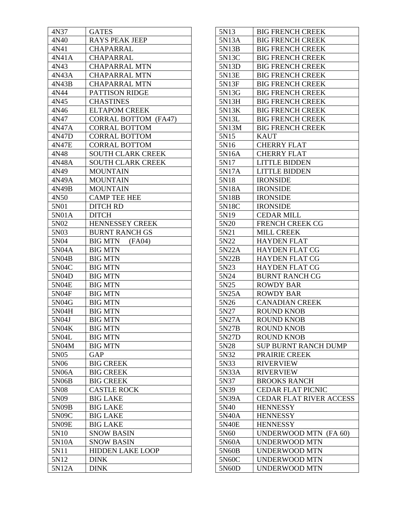| 4N37              | <b>GATES</b>                |
|-------------------|-----------------------------|
| 4N40              | <b>RAYS PEAK JEEP</b>       |
| 4N41              | CHAPARRAL                   |
| 4N41A             | CHAPARRAL                   |
| 4N43              | <b>CHAPARRAL MTN</b>        |
| 4N43A             | <b>CHAPARRAL MTN</b>        |
| 4N43B             | <b>CHAPARRAL MTN</b>        |
| 4N44              | PATTISON RIDGE              |
| 4N45              | <b>CHASTINES</b>            |
| 4N46              | <b>ELTAPOM CREEK</b>        |
| 4N47              | <b>CORRAL BOTTOM (FA47)</b> |
| 4N47A             | <b>CORRAL BOTTOM</b>        |
| 4N47D             | <b>CORRAL BOTTOM</b>        |
| 4N47E             | <b>CORRAL BOTTOM</b>        |
| 4N48              | <b>SOUTH CLARK CREEK</b>    |
| 4N48A             | <b>SOUTH CLARK CREEK</b>    |
| 4N49              | <b>MOUNTAIN</b>             |
| 4N49A             | <b>MOUNTAIN</b>             |
| 4N49B             | <b>MOUNTAIN</b>             |
| 4N50              | <b>CAMP TEE HEE</b>         |
| 5N01              | <b>DITCH RD</b>             |
| 5N01A             | <b>DITCH</b>                |
| 5N <sub>0</sub> 2 | HENNESSEY CREEK             |
| 5N03              | <b>BURNT RANCH GS</b>       |
| 5N04              | <b>BIG MTN</b><br>(FA04)    |
| 5N04A             | <b>BIG MTN</b>              |
| 5N04B             | <b>BIG MTN</b>              |
| 5N04C             | <b>BIG MTN</b>              |
| 5N04D             | <b>BIG MTN</b>              |
| 5N04E             | <b>BIG MTN</b>              |
| 5N04F             | <b>BIG MTN</b>              |
| 5N04G             | <b>BIG MTN</b>              |
| 5N04H             | <b>BIG MTN</b>              |
| 5N04J             | <b>BIG MTN</b>              |
| 5N04K             | <b>BIG MTN</b>              |
| 5N04L             | <b>BIG MTN</b>              |
| 5N04M             | <b>BIG MTN</b>              |
| 5N05              | <b>GAP</b>                  |
| 5N <sub>06</sub>  | <b>BIG CREEK</b>            |
| 5N06A             | <b>BIG CREEK</b>            |
| 5N06B             | <b>BIG CREEK</b>            |
| 5N08              | <b>CASTLE ROCK</b>          |
| 5N09              | <b>BIG LAKE</b>             |
| 5N09B             | <b>BIG LAKE</b>             |
| 5N09C             | <b>BIG LAKE</b>             |
| 5N09E             | <b>BIG LAKE</b>             |
| 5N10              | <b>SNOW BASIN</b>           |
| 5N10A             | <b>SNOW BASIN</b>           |
| 5N11              | <b>HIDDEN LAKE LOOP</b>     |
| 5N12              | <b>DINK</b>                 |
| 5N12A             | <b>DINK</b>                 |

| 5N13  | <b>BIG FRENCH CREEK</b>        |
|-------|--------------------------------|
| 5N13A | <b>BIG FRENCH CREEK</b>        |
| 5N13B | <b>BIG FRENCH CREEK</b>        |
| 5N13C | <b>BIG FRENCH CREEK</b>        |
| 5N13D | <b>BIG FRENCH CREEK</b>        |
| 5N13E | <b>BIG FRENCH CREEK</b>        |
| 5N13F | <b>BIG FRENCH CREEK</b>        |
| 5N13G | <b>BIG FRENCH CREEK</b>        |
| 5N13H | <b>BIG FRENCH CREEK</b>        |
| 5N13K | <b>BIG FRENCH CREEK</b>        |
| 5N13L | <b>BIG FRENCH CREEK</b>        |
| 5N13M | <b>BIG FRENCH CREEK</b>        |
| 5N15  | <b>KAUT</b>                    |
| 5N16  | <b>CHERRY FLAT</b>             |
| 5N16A | <b>CHERRY FLAT</b>             |
| 5N17  | <b>LITTLE BIDDEN</b>           |
| 5N17A | <b>LITTLE BIDDEN</b>           |
| 5N18  | <b>IRONSIDE</b>                |
| 5N18A | <b>IRONSIDE</b>                |
| 5N18B | <b>IRONSIDE</b>                |
| 5N18C | <b>IRONSIDE</b>                |
| 5N19  | <b>CEDAR MILL</b>              |
| 5N20  | <b>FRENCH CREEK CG</b>         |
| 5N21  | <b>MILL CREEK</b>              |
| 5N22  | <b>HAYDEN FLAT</b>             |
| 5N22A | <b>HAYDEN FLAT CG</b>          |
| 5N22B | <b>HAYDEN FLAT CG</b>          |
| 5N23  | <b>HAYDEN FLAT CG</b>          |
| 5N24  | <b>BURNT RANCH CG</b>          |
| 5N25  | ROWDY BAR                      |
| 5N25A | <b>ROWDY BAR</b>               |
| 5N26  | <b>CANADIAN CREEK</b>          |
| 5N27  | <b>ROUND KNOB</b>              |
| 5N27A | <b>ROUND KNOB</b>              |
| 5N27B | ROUND KNOB                     |
| 5N27D | <b>ROUND KNOB</b>              |
| 5N28  | <b>SUP BURNT RANCH DUMP</b>    |
| 5N32  | PRAIRIE CREEK                  |
| 5N33  | <b>RIVERVIEW</b>               |
| 5N33A | <b>RIVERVIEW</b>               |
| 5N37  | <b>BROOKS RANCH</b>            |
| 5N39  | <b>CEDAR FLAT PICNIC</b>       |
| 5N39A | <b>CEDAR FLAT RIVER ACCESS</b> |
| 5N40  | <b>HENNESSY</b>                |
| 5N40A | <b>HENNESSY</b>                |
| 5N40E | <b>HENNESSY</b>                |
| 5N60  | UNDERWOOD MTN (FA 60)          |
| 5N60A | <b>UNDERWOOD MTN</b>           |
| 5N60B | <b>UNDERWOOD MTN</b>           |
| 5N60C | UNDERWOOD MTN                  |
| 5N60D | <b>UNDERWOOD MTN</b>           |
|       |                                |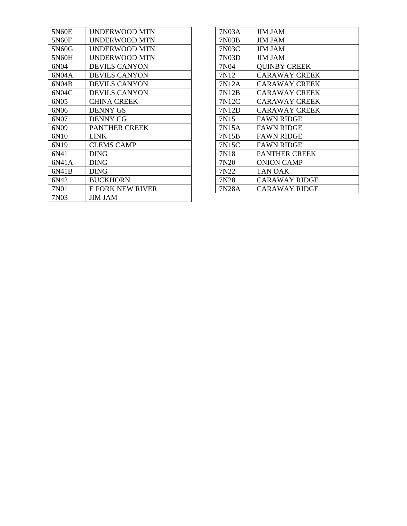| 5N60E | UNDERWOOD MTN           |
|-------|-------------------------|
| 5N60F | UNDERWOOD MTN           |
| 5N60G | UNDERWOOD MTN           |
| 5N60H | <b>UNDERWOOD MTN</b>    |
| 6N04  | <b>DEVILS CANYON</b>    |
| 6N04A | <b>DEVILS CANYON</b>    |
| 6N04B | <b>DEVILS CANYON</b>    |
| 6N04C | <b>DEVILS CANYON</b>    |
| 6N05  | <b>CHINA CREEK</b>      |
| 6N06  | <b>DENNY GS</b>         |
| 6N07  | <b>DENNY CG</b>         |
| 6N09  | <b>PANTHER CREEK</b>    |
| 6N10  | <b>LINK</b>             |
| 6N19  | <b>CLEMS CAMP</b>       |
| 6N41  | <b>DING</b>             |
| 6N41A | <b>DING</b>             |
| 6N41B | <b>DING</b>             |
| 6N42  | <b>BUCKHORN</b>         |
| 7N01  | <b>E FORK NEW RIVER</b> |
| 7N03  | <b>JIM JAM</b>          |

| 7N03A | <b>JIM JAM</b>       |
|-------|----------------------|
| 7N03B | JIM JAM              |
| 7N03C | <b>JIM JAM</b>       |
| 7N03D | <b>JIM JAM</b>       |
| 7N04  | <b>QUINBY CREEK</b>  |
| 7N12  | <b>CARAWAY CREEK</b> |
| 7N12A | <b>CARAWAY CREEK</b> |
| 7N12B | <b>CARAWAY CREEK</b> |
| 7N12C | <b>CARAWAY CREEK</b> |
| 7N12D | <b>CARAWAY CREEK</b> |
| 7N15  | <b>FAWN RIDGE</b>    |
| 7N15A | <b>FAWN RIDGE</b>    |
| 7N15B | <b>FAWN RIDGE</b>    |
| 7N15C | <b>FAWN RIDGE</b>    |
| 7N18  | <b>PANTHER CREEK</b> |
| 7N20  | ONION CAMP           |
| 7N22  | TAN OAK              |
| 7N28  | <b>CARAWAY RIDGE</b> |
| 7N28A | <b>CARAWAY RIDGE</b> |